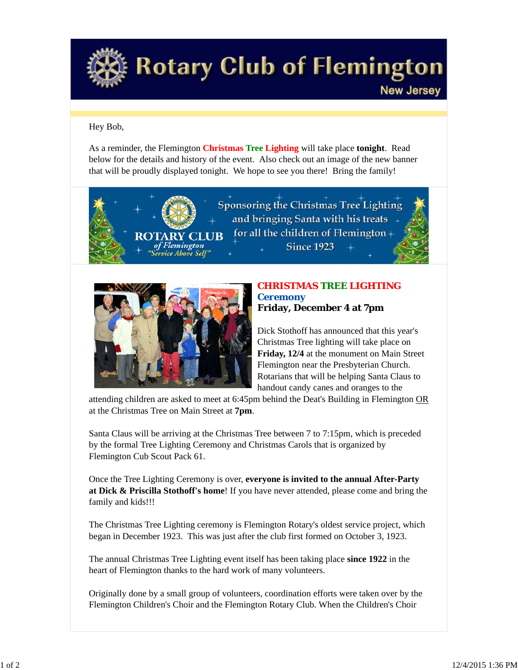

## **Rotary Club of Flemington**

## Hey Bob,

As a reminder, the Flemington **Christmas Tree Lighting** will take place **tonight**. Read below for the details and history of the event. Also check out an image of the new banner that will be proudly displayed tonight. We hope to see you there! Bring the family!





## *CHRISTMAS TREE LIGHTING Ceremony* **Friday, December 4 at 7pm**

**New Jersey** 

Dick Stothoff has announced that this year's Christmas Tree lighting will take place on **Friday, 12/4** at the monument on Main Street Flemington near the Presbyterian Church. Rotarians that will be helping Santa Claus to handout candy canes and oranges to the

attending children are asked to meet at 6:45pm behind the Deat's Building in Flemington OR at the Christmas Tree on Main Street at **7pm**.

Santa Claus will be arriving at the Christmas Tree between 7 to 7:15pm, which is preceded by the formal Tree Lighting Ceremony and Christmas Carols that is organized by Flemington Cub Scout Pack 61.

Once the Tree Lighting Ceremony is over, **everyone is invited to the annual After-Party at Dick & Priscilla Stothoff's home**! If you have never attended, please come and bring the family and kids!!!

The Christmas Tree Lighting ceremony is Flemington Rotary's oldest service project, which began in December 1923. This was just after the club first formed on October 3, 1923.

The annual Christmas Tree Lighting event itself has been taking place **since 1922** in the heart of Flemington thanks to the hard work of many volunteers.

Originally done by a small group of volunteers, coordination efforts were taken over by the Flemington Children's Choir and the Flemington Rotary Club. When the Children's Choir